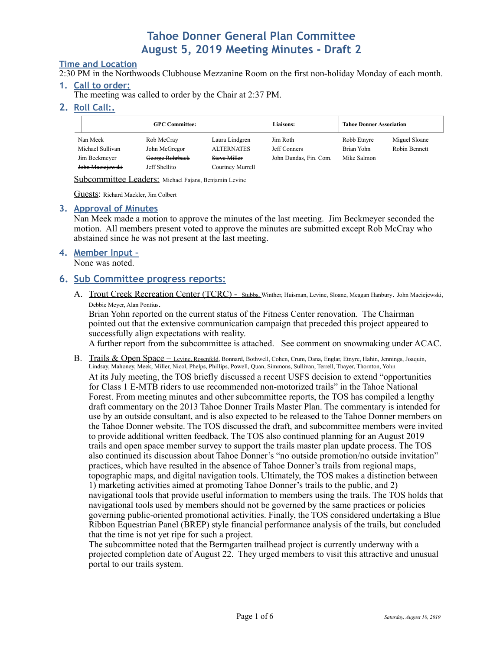## **Time and Location**

2:30 PM in the Northwoods Clubhouse Mezzanine Room on the first non-holiday Monday of each month.

#### **1. Call to order:**

The meeting was called to order by the Chair at 2:37 PM.

### **2. Roll Call:.**

| <b>GPC Committee:</b> |                 |                   | <b>Liaisons:</b>       | <b>Tahoe Donner Association</b> |               |
|-----------------------|-----------------|-------------------|------------------------|---------------------------------|---------------|
| Nan Meek              | Rob McCray      | Laura Lindgren    | Jim Roth               | Robb Etnyre                     | Miguel Sloane |
| Michael Sullivan      | John McGregor   | <b>ALTERNATES</b> | Jeff Conners           | Brian Yohn                      | Robin Bennett |
| Jim Beckmeyer         | George Rohrback | Steve Miller      | John Dundas, Fin. Com. | Mike Salmon                     |               |
| John Maciejewski      | Jeff Shellito   | Courtney Murrell  |                        |                                 |               |

Subcommittee Leaders: Michael Fajans, Benjamin Levine

Guests: Richard Mackler, Jim Colbert

#### **3. Approval of Minutes**

Nan Meek made a motion to approve the minutes of the last meeting. Jim Beckmeyer seconded the motion. All members present voted to approve the minutes are submitted except Rob McCray who abstained since he was not present at the last meeting.

### **4. Member Input –**

None was noted.

### **6. Sub Committee progress reports:**

A. Trout Creek Recreation Center (TCRC) - Stubbs, Winther, Huisman, Levine, Sloane, Meagan Hanbury. John Maciejewski, Debbie Meyer, Alan Pontius.

Brian Yohn reported on the current status of the Fitness Center renovation. The Chairman pointed out that the extensive communication campaign that preceded this project appeared to successfully align expectations with reality.

A further report from the subcommittee is attached. See comment on snowmaking under ACAC.

B. Trails & Open Space – Levine, Rosenfeld, Bonnard, Bothwell, Cohen, Crum, Dana, Englar, Etnyre, Hahin, Jennings, Joaquin, Lindsay, Mahoney, Meek, Miller, Nicol, Phelps, Phillips, Powell, Quan, Simmons, Sullivan, Terrell, Thayer, Thornton, Yohn At its July meeting, the TOS briefly discussed a recent USFS decision to extend "opportunities for Class 1 E-MTB riders to use recommended non-motorized trails" in the Tahoe National Forest. From meeting minutes and other subcommittee reports, the TOS has compiled a lengthy draft commentary on the 2013 Tahoe Donner Trails Master Plan. The commentary is intended for use by an outside consultant, and is also expected to be released to the Tahoe Donner members on the Tahoe Donner website. The TOS discussed the draft, and subcommittee members were invited to provide additional written feedback. The TOS also continued planning for an August 2019 trails and open space member survey to support the trails master plan update process. The TOS also continued its discussion about Tahoe Donner's "no outside promotion/no outside invitation" practices, which have resulted in the absence of Tahoe Donner's trails from regional maps, topographic maps, and digital navigation tools. Ultimately, the TOS makes a distinction between 1) marketing activities aimed at promoting Tahoe Donner's trails to the public, and 2) navigational tools that provide useful information to members using the trails. The TOS holds that navigational tools used by members should not be governed by the same practices or policies governing public-oriented promotional activities. Finally, the TOS considered undertaking a Blue Ribbon Equestrian Panel (BREP) style financial performance analysis of the trails, but concluded that the time is not yet ripe for such a project.

The subcommittee noted that the Bermgarten trailhead project is currently underway with a projected completion date of August 22. They urged members to visit this attractive and unusual portal to our trails system.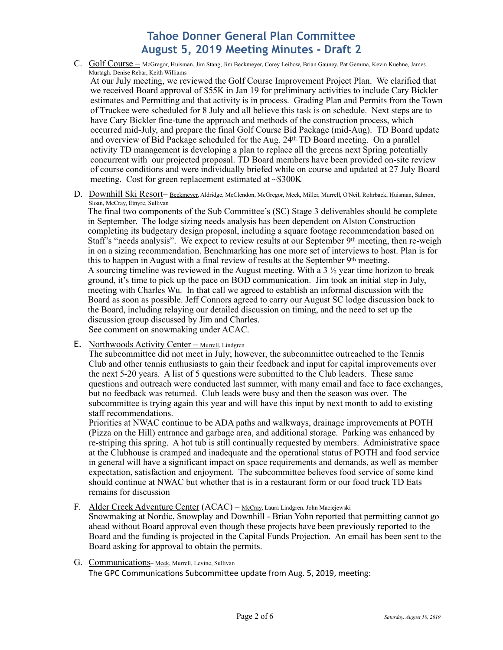C. Golf Course - McGregor, Huisman, Jim Stang, Jim Beckmeyer, Corey Leibow, Brian Gauney, Pat Gemma, Kevin Kuehne, James Murtagh. Denise Rebar, Keith Williams

At our July meeting, we reviewed the Golf Course Improvement Project Plan. We clarified that we received Board approval of \$55K in Jan 19 for preliminary activities to include Cary Bickler estimates and Permitting and that activity is in process. Grading Plan and Permits from the Town of Truckee were scheduled for 8 July and all believe this task is on schedule. Next steps are to have Cary Bickler fine-tune the approach and methods of the construction process, which occurred mid-July, and prepare the final Golf Course Bid Package (mid-Aug). TD Board update and overview of Bid Package scheduled for the Aug. 24th TD Board meeting. On a parallel activity TD management is developing a plan to replace all the greens next Spring potentially concurrent with our projected proposal. TD Board members have been provided on-site review of course conditions and were individually briefed while on course and updated at 27 July Board meeting. Cost for green replacement estimated at ~\$300K

D. Downhill Ski Resort- Beckmeyer, Aldridge, McClendon, McGregor, Meek, Miller, Murrell, O'Neil, Rohrback, Huisman, Salmon, Sloan, McCray, Etnyre, Sullivan

The final two components of the Sub Committee's (SC) Stage 3 deliverables should be complete in September. The lodge sizing needs analysis has been dependent on Alston Construction completing its budgetary design proposal, including a square footage recommendation based on Staff's "needs analysis". We expect to review results at our September 9th meeting, then re-weigh in on a sizing recommendation. Benchmarking has one more set of interviews to host. Plan is for this to happen in August with a final review of results at the September 9th meeting. A sourcing timeline was reviewed in the August meeting. With a 3  $\frac{1}{2}$  year time horizon to break ground, it's time to pick up the pace on BOD communication. Jim took an initial step in July, meeting with Charles Wu. In that call we agreed to establish an informal discussion with the Board as soon as possible. Jeff Connors agreed to carry our August SC lodge discussion back to the Board, including relaying our detailed discussion on timing, and the need to set up the discussion group discussed by Jim and Charles. See comment on snowmaking under ACAC.

E. Northwoods Activity Center – Murrell, Lindgren

The subcommittee did not meet in July; however, the subcommittee outreached to the Tennis Club and other tennis enthusiasts to gain their feedback and input for capital improvements over the next 5-20 years. A list of 5 questions were submitted to the Club leaders. These same questions and outreach were conducted last summer, with many email and face to face exchanges, but no feedback was returned. Club leads were busy and then the season was over. The subcommittee is trying again this year and will have this input by next month to add to existing staff recommendations.

Priorities at NWAC continue to be ADA paths and walkways, drainage improvements at POTH (Pizza on the Hill) entrance and garbage area, and additional storage. Parking was enhanced by re-striping this spring. A hot tub is still continually requested by members. Administrative space at the Clubhouse is cramped and inadequate and the operational status of POTH and food service in general will have a significant impact on space requirements and demands, as well as member expectation, satisfaction and enjoyment. The subcommittee believes food service of some kind should continue at NWAC but whether that is in a restaurant form or our food truck TD Eats remains for discussion

#### F. Alder Creek Adventure Center (ACAC) – McCray, Laura Lindgren. John Maciejewski

Snowmaking at Nordic, Snowplay and Downhill - Brian Yohn reported that permitting cannot go ahead without Board approval even though these projects have been previously reported to the Board and the funding is projected in the Capital Funds Projection. An email has been sent to the Board asking for approval to obtain the permits.

G. Communications– Meek, Murrell, Levine, Sullivan The GPC Communications Subcommittee update from Aug. 5, 2019, meeting: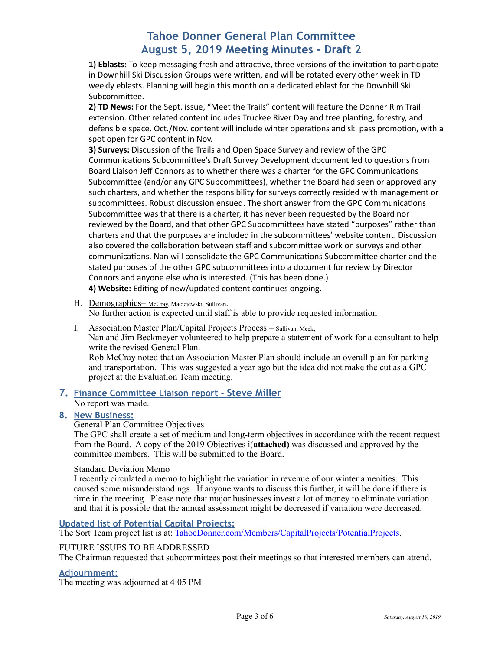**1) Eblasts:** To keep messaging fresh and attractive, three versions of the invitation to participate in Downhill Ski Discussion Groups were written, and will be rotated every other week in TD weekly eblasts. Planning will begin this month on a dedicated eblast for the Downhill Ski Subcommittee.

**2) TD News:** For the Sept. issue, "Meet the Trails" content will feature the Donner Rim Trail extension. Other related content includes Truckee River Day and tree planting, forestry, and defensible space. Oct./Nov. content will include winter operations and ski pass promotion, with a spot open for GPC content in Nov.

**3) Surveys:** Discussion of the Trails and Open Space Survey and review of the GPC Communications Subcommittee's Draft Survey Development document led to questions from Board Liaison Jeff Connors as to whether there was a charter for the GPC Communications Subcommittee (and/or any GPC Subcommittees), whether the Board had seen or approved any such charters, and whether the responsibility for surveys correctly resided with management or subcommittees. Robust discussion ensued. The short answer from the GPC Communications Subcommittee was that there is a charter, it has never been requested by the Board nor reviewed by the Board, and that other GPC Subcommittees have stated "purposes" rather than charters and that the purposes are included in the subcommittees' website content. Discussion also covered the collaboration between staff and subcommittee work on surveys and other communications. Nan will consolidate the GPC Communications Subcommittee charter and the stated purposes of the other GPC subcommittees into a document for review by Director Connors and anyone else who is interested. (This has been done.) 4) Website: Editing of new/updated content continues ongoing.

- H. Demographics– McCray, Maciejewski, Sullivan. No further action is expected until staff is able to provide requested information
- I. Association Master Plan/Capital Projects Process Sullivan, Meek, Nan and Jim Beckmeyer volunteered to help prepare a statement of work for a consultant to help write the revised General Plan. Rob McCray noted that an Association Master Plan should include an overall plan for parking and transportation. This was suggested a year ago but the idea did not make the cut as a GPC project at the Evaluation Team meeting.
- **7. Finance Committee Liaison report Steve Miller**  No report was made.

## **8. New Business:**

## General Plan Committee Objectives

The GPC shall create a set of medium and long-term objectives in accordance with the recent request from the Board. A copy of the 2019 Objectives i(**attached)** was discussed and approved by the committee members. This will be submitted to the Board.

### Standard Deviation Memo

I recently circulated a memo to highlight the variation in revenue of our winter amenities. This caused some misunderstandings. If anyone wants to discuss this further, it will be done if there is time in the meeting. Please note that major businesses invest a lot of money to eliminate variation and that it is possible that the annual assessment might be decreased if variation were decreased.

### **Updated list of Potential Capital Projects:**

The Sort Team project list is at: [TahoeDonner.com/Members/CapitalProjects/PotentialProjects](http://www.tahoedonner.com/members/capital-projects/future-potential-projects/).

### FUTURE ISSUES TO BE ADDRESSED

The Chairman requested that subcommittees post their meetings so that interested members can attend.

### **Adjournment:**

The meeting was adjourned at 4:05 PM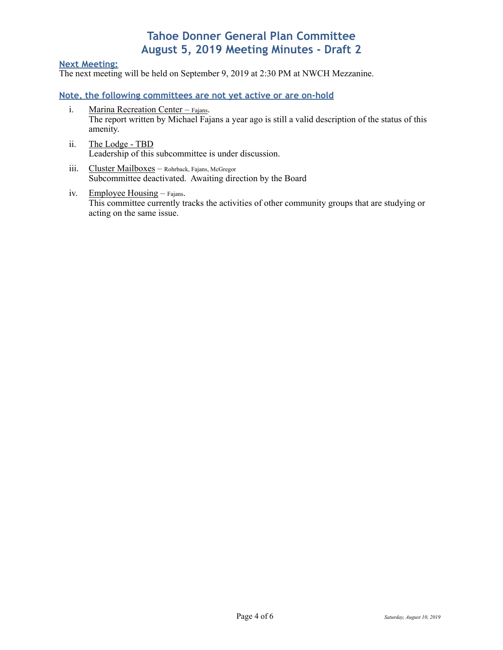### **Next Meeting:**

The next meeting will be held on September 9, 2019 at 2:30 PM at NWCH Mezzanine.

### **Note, the following committees are not yet active or are on-hold**

- i. Marina Recreation Center Fajans. The report written by Michael Fajans a year ago is still a valid description of the status of this amenity.
- ii. The Lodge TBD Leadership of this subcommittee is under discussion.
- iii. Cluster Mailboxes Rohrback, Fajans, McGregor Subcommittee deactivated. Awaiting direction by the Board
- iv. Employee Housing Fajans. This committee currently tracks the activities of other community groups that are studying or acting on the same issue.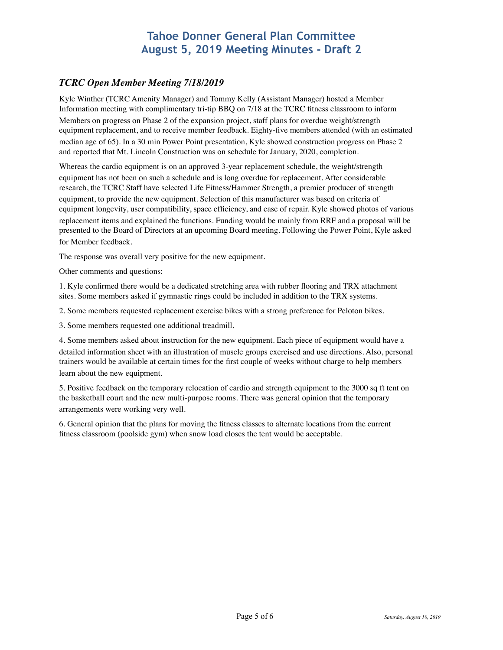## *TCRC Open Member Meeting 7/18/2019*

Kyle Winther (TCRC Amenity Manager) and Tommy Kelly (Assistant Manager) hosted a Member Information meeting with complimentary tri-tip BBQ on 7/18 at the TCRC fitness classroom to inform Members on progress on Phase 2 of the expansion project, staff plans for overdue weight/strength equipment replacement, and to receive member feedback. Eighty-five members attended (with an estimated median age of 65). In a 30 min Power Point presentation, Kyle showed construction progress on Phase 2 and reported that Mt. Lincoln Construction was on schedule for January, 2020, completion.

Whereas the cardio equipment is on an approved 3-year replacement schedule, the weight/strength equipment has not been on such a schedule and is long overdue for replacement. After considerable research, the TCRC Staff have selected Life Fitness/Hammer Strength, a premier producer of strength equipment, to provide the new equipment. Selection of this manufacturer was based on criteria of equipment longevity, user compatibility, space efficiency, and ease of repair. Kyle showed photos of various replacement items and explained the functions. Funding would be mainly from RRF and a proposal will be presented to the Board of Directors at an upcoming Board meeting. Following the Power Point, Kyle asked for Member feedback.

The response was overall very positive for the new equipment.

Other comments and questions:

1. Kyle confirmed there would be a dedicated stretching area with rubber flooring and TRX attachment sites. Some members asked if gymnastic rings could be included in addition to the TRX systems.

2. Some members requested replacement exercise bikes with a strong preference for Peloton bikes.

3. Some members requested one additional treadmill.

4. Some members asked about instruction for the new equipment. Each piece of equipment would have a detailed information sheet with an illustration of muscle groups exercised and use directions. Also, personal trainers would be available at certain times for the first couple of weeks without charge to help members learn about the new equipment.

5. Positive feedback on the temporary relocation of cardio and strength equipment to the 3000 sq ft tent on the basketball court and the new multi-purpose rooms. There was general opinion that the temporary arrangements were working very well.

6. General opinion that the plans for moving the fitness classes to alternate locations from the current fitness classroom (poolside gym) when snow load closes the tent would be acceptable.